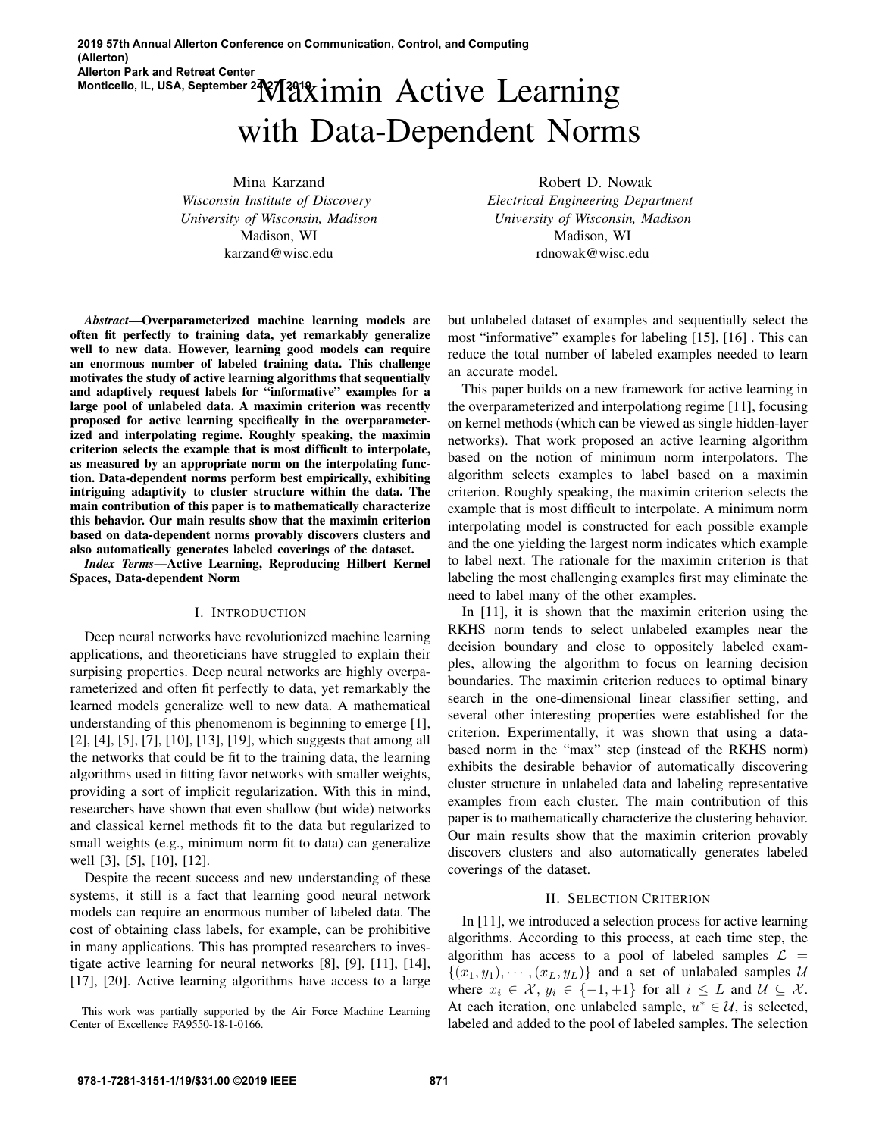# Monticello, IL, USA, September 2<sup>2</sup> M<sup>2</sup>1 Ximin Active Learning with Data-Dependent Norms

Mina Karzand *Wisconsin Institute of Discovery University of Wisconsin, Madison* Madison, WI karzand@wisc.edu

*Abstract*—Overparameterized machine learning models are often fit perfectly to training data, yet remarkably generalize well to new data. However, learning good models can require an enormous number of labeled training data. This challenge motivates the study of active learning algorithms that sequentially and adaptively request labels for "informative" examples for a large pool of unlabeled data. A maximin criterion was recently proposed for active learning specifically in the overparameterized and interpolating regime. Roughly speaking, the maximin criterion selects the example that is most difficult to interpolate, as measured by an appropriate norm on the interpolating function. Data-dependent norms perform best empirically, exhibiting intriguing adaptivity to cluster structure within the data. The main contribution of this paper is to mathematically characterize this behavior. Our main results show that the maximin criterion based on data-dependent norms provably discovers clusters and also automatically generates labeled coverings of the dataset.

*Index Terms*—Active Learning, Reproducing Hilbert Kernel Spaces, Data-dependent Norm

#### I. INTRODUCTION

Deep neural networks have revolutionized machine learning applications, and theoreticians have struggled to explain their surpising properties. Deep neural networks are highly overparameterized and often fit perfectly to data, yet remarkably the learned models generalize well to new data. A mathematical understanding of this phenomenom is beginning to emerge [1], [2], [4], [5], [7], [10], [13], [19], which suggests that among all the networks that could be fit to the training data, the learning algorithms used in fitting favor networks with smaller weights, providing a sort of implicit regularization. With this in mind, researchers have shown that even shallow (but wide) networks and classical kernel methods fit to the data but regularized to small weights (e.g., minimum norm fit to data) can generalize well [3], [5], [10], [12].

Despite the recent success and new understanding of these systems, it still is a fact that learning good neural network models can require an enormous number of labeled data. The cost of obtaining class labels, for example, can be prohibitive in many applications. This has prompted researchers to investigate active learning for neural networks [8], [9], [11], [14], [17], [20]. Active learning algorithms have access to a large

This work was partially supported by the Air Force Machine Learning Center of Excellence FA9550-18-1-0166.

Robert D. Nowak *Electrical Engineering Department University of Wisconsin, Madison* Madison, WI rdnowak@wisc.edu

but unlabeled dataset of examples and sequentially select the most "informative" examples for labeling [15], [16] . This can reduce the total number of labeled examples needed to learn an accurate model.

This paper builds on a new framework for active learning in the overparameterized and interpolationg regime [11], focusing on kernel methods (which can be viewed as single hidden-layer networks). That work proposed an active learning algorithm based on the notion of minimum norm interpolators. The algorithm selects examples to label based on a maximin criterion. Roughly speaking, the maximin criterion selects the example that is most difficult to interpolate. A minimum norm interpolating model is constructed for each possible example and the one yielding the largest norm indicates which example to label next. The rationale for the maximin criterion is that labeling the most challenging examples first may eliminate the need to label many of the other examples.

In [11], it is shown that the maximin criterion using the RKHS norm tends to select unlabeled examples near the decision boundary and close to oppositely labeled examples, allowing the algorithm to focus on learning decision boundaries. The maximin criterion reduces to optimal binary search in the one-dimensional linear classifier setting, and several other interesting properties were established for the criterion. Experimentally, it was shown that using a databased norm in the "max" step (instead of the RKHS norm) exhibits the desirable behavior of automatically discovering cluster structure in unlabeled data and labeling representative examples from each cluster. The main contribution of this paper is to mathematically characterize the clustering behavior. Our main results show that the maximin criterion provably discovers clusters and also automatically generates labeled coverings of the dataset.

#### II. SELECTION CRITERION

In [11], we introduced a selection process for active learning algorithms. According to this process, at each time step, the algorithm has access to a pool of labeled samples  $\mathcal{L}$  =  $\{(x_1, y_1), \cdots, (x_L, y_L)\}\$ and a set of unlabaled samples U where  $x_i \in \mathcal{X}, y_i \in \{-1, +1\}$  for all  $i \leq L$  and  $\mathcal{U} \subseteq \mathcal{X}$ . At each iteration, one unlabeled sample,  $u^* \in \mathcal{U}$ , is selected, labeled and added to the pool of labeled samples. The selection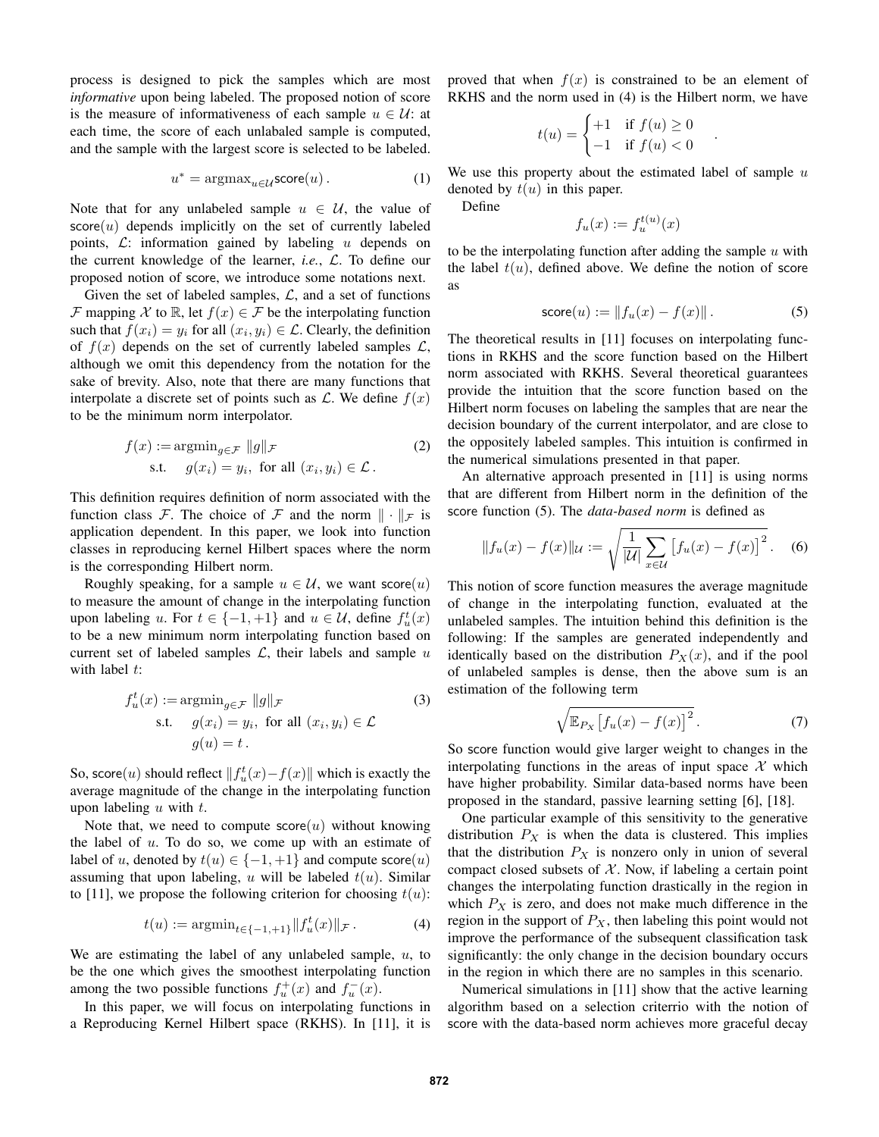process is designed to pick the samples which are most *informative* upon being labeled. The proposed notion of score is the measure of informativeness of each sample  $u \in U$ : at each time, the score of each unlabaled sample is computed, and the sample with the largest score is selected to be labeled.

$$
u^* = \operatorname{argmax}_{u \in \mathcal{U}} \text{score}(u) \,. \tag{1}
$$

Note that for any unlabeled sample  $u \in \mathcal{U}$ , the value of  $score(u)$  depends implicitly on the set of currently labeled points,  $\mathcal{L}$ : information gained by labeling u depends on the current knowledge of the learner, *i.e.*, L. To define our proposed notion of score, we introduce some notations next.

Given the set of labeled samples,  $\mathcal{L}$ , and a set of functions F mapping X to R, let  $f(x) \in \mathcal{F}$  be the interpolating function such that  $f(x_i) = y_i$  for all  $(x_i, y_i) \in \mathcal{L}$ . Clearly, the definition of  $f(x)$  depends on the set of currently labeled samples  $\mathcal{L}$ , although we omit this dependency from the notation for the sake of brevity. Also, note that there are many functions that interpolate a discrete set of points such as  $\mathcal{L}$ . We define  $f(x)$ to be the minimum norm interpolator.

$$
f(x) := \operatorname{argmin}_{g \in \mathcal{F}} \|g\|_{\mathcal{F}}
$$
  
s.t.  $g(x_i) = y_i$ , for all  $(x_i, y_i) \in \mathcal{L}$ . (2)

This definition requires definition of norm associated with the function class F. The choice of F and the norm  $\|\cdot\|_F$  is application dependent. In this paper, we look into function classes in reproducing kernel Hilbert spaces where the norm is the corresponding Hilbert norm.

Roughly speaking, for a sample  $u \in \mathcal{U}$ , we want score $(u)$ to measure the amount of change in the interpolating function upon labeling u. For  $t \in \{-1, +1\}$  and  $u \in \mathcal{U}$ , define  $f_u^t(x)$ to be a new minimum norm interpolating function based on current set of labeled samples  $\mathcal{L}$ , their labels and sample u with label  $t$ :

$$
f_u^t(x) := \operatorname{argmin}_{g \in \mathcal{F}} \|g\|_{\mathcal{F}}
$$
  
s.t.  $g(x_i) = y_i$ , for all  $(x_i, y_i) \in \mathcal{L}$   
 $g(u) = t$ . (3)

So, score $(u)$  should reflect  $||f_u^t(x) - f(x)||$  which is exactly the average magnitude of the change in the interpolating function upon labeling  $u$  with  $t$ .

Note that, we need to compute score $(u)$  without knowing the label of  $u$ . To do so, we come up with an estimate of label of u, denoted by  $t(u) \in \{-1, +1\}$  and compute score $(u)$ assuming that upon labeling, u will be labeled  $t(u)$ . Similar to [11], we propose the following criterion for choosing  $t(u)$ :

$$
t(u) := \operatorname{argmin}_{t \in \{-1, +1\}} \|f_u^t(x)\|_{\mathcal{F}}.
$$
 (4)

We are estimating the label of any unlabeled sample,  $u$ , to be the one which gives the smoothest interpolating function among the two possible functions  $f_u^+(x)$  and  $f_u^-(x)$ .

In this paper, we will focus on interpolating functions in a Reproducing Kernel Hilbert space (RKHS). In [11], it is proved that when  $f(x)$  is constrained to be an element of RKHS and the norm used in (4) is the Hilbert norm, we have

$$
t(u) = \begin{cases} +1 & \text{if } f(u) \ge 0\\ -1 & \text{if } f(u) < 0 \end{cases}
$$

Define

We use this property about the estimated label of sample  $u$ denoted by  $t(u)$  in this paper.

$$
f_u(x) := f_u^{t(u)}(x) \\
$$

to be the interpolating function after adding the sample  $u$  with the label  $t(u)$ , defined above. We define the notion of score as

$$
score(u) := \|f_u(x) - f(x)\|.
$$
 (5)

.

The theoretical results in [11] focuses on interpolating functions in RKHS and the score function based on the Hilbert norm associated with RKHS. Several theoretical guarantees provide the intuition that the score function based on the Hilbert norm focuses on labeling the samples that are near the decision boundary of the current interpolator, and are close to the oppositely labeled samples. This intuition is confirmed in the numerical simulations presented in that paper.

An alternative approach presented in [11] is using norms that are different from Hilbert norm in the definition of the score function (5). The *data-based norm* is defined as

$$
||f_u(x) - f(x)||_{\mathcal{U}} := \sqrt{\frac{1}{|\mathcal{U}|} \sum_{x \in \mathcal{U}} [f_u(x) - f(x)]^2}.
$$
 (6)

This notion of score function measures the average magnitude of change in the interpolating function, evaluated at the unlabeled samples. The intuition behind this definition is the following: If the samples are generated independently and identically based on the distribution  $P_X(x)$ , and if the pool of unlabeled samples is dense, then the above sum is an estimation of the following term

$$
\sqrt{\mathbb{E}_{P_X}\left[f_u(x) - f(x)\right]^2}.
$$
 (7)

So score function would give larger weight to changes in the interpolating functions in the areas of input space  $X$  which have higher probability. Similar data-based norms have been proposed in the standard, passive learning setting [6], [18].

One particular example of this sensitivity to the generative distribution  $P_X$  is when the data is clustered. This implies that the distribution  $P_X$  is nonzero only in union of several compact closed subsets of  $X$ . Now, if labeling a certain point changes the interpolating function drastically in the region in which  $P_X$  is zero, and does not make much difference in the region in the support of  $P_X$ , then labeling this point would not improve the performance of the subsequent classification task significantly: the only change in the decision boundary occurs in the region in which there are no samples in this scenario.

Numerical simulations in [11] show that the active learning algorithm based on a selection criterrio with the notion of score with the data-based norm achieves more graceful decay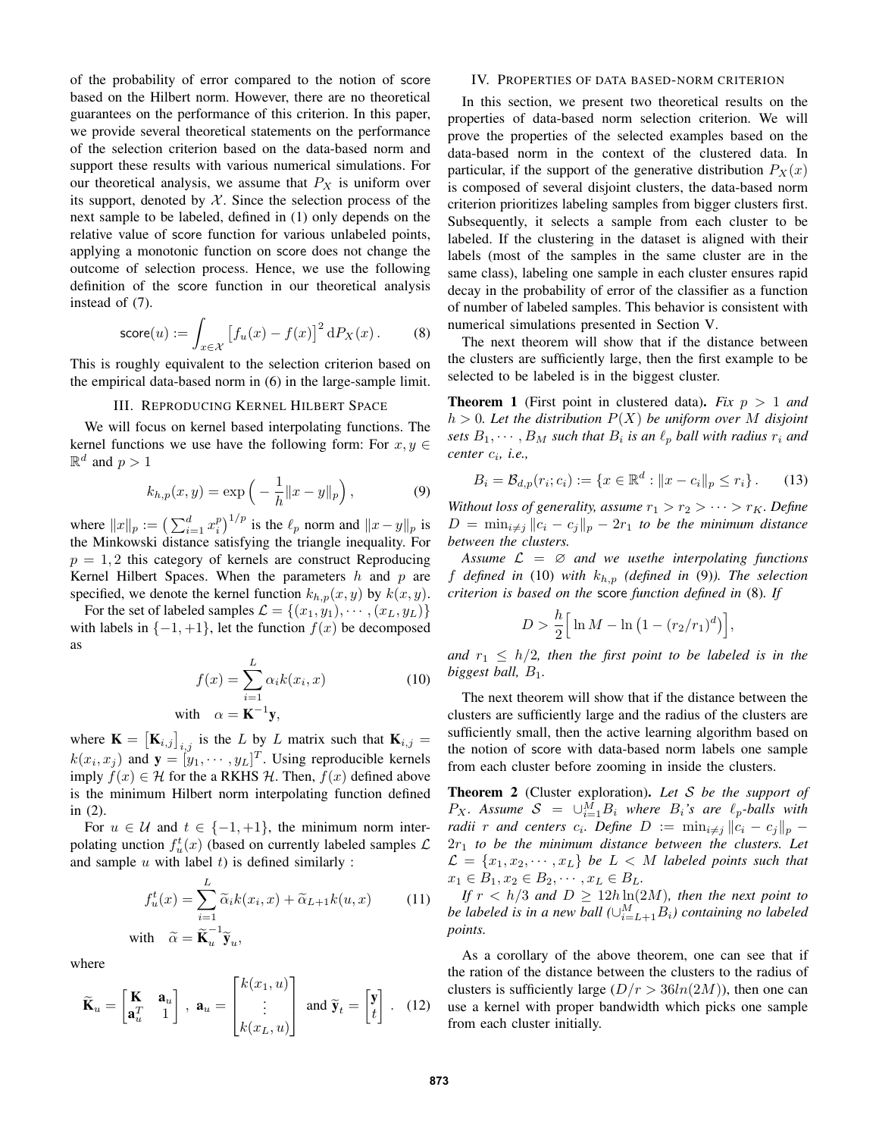of the probability of error compared to the notion of score based on the Hilbert norm. However, there are no theoretical guarantees on the performance of this criterion. In this paper, we provide several theoretical statements on the performance of the selection criterion based on the data-based norm and support these results with various numerical simulations. For our theoretical analysis, we assume that  $P_X$  is uniform over its support, denoted by  $X$ . Since the selection process of the next sample to be labeled, defined in (1) only depends on the relative value of score function for various unlabeled points, applying a monotonic function on score does not change the outcome of selection process. Hence, we use the following definition of the score function in our theoretical analysis instead of (7).

$$
\text{score}(u) := \int_{x \in \mathcal{X}} \left[ f_u(x) - f(x) \right]^2 \mathrm{d}P_X(x) \,. \tag{8}
$$

This is roughly equivalent to the selection criterion based on the empirical data-based norm in (6) in the large-sample limit.

## III. REPRODUCING KERNEL HILBERT SPACE

We will focus on kernel based interpolating functions. The kernel functions we use have the following form: For  $x, y \in$  $\mathbb{R}^d$  and  $p > 1$ 

$$
k_{h,p}(x,y) = \exp\left(-\frac{1}{h}||x-y||_p\right),
$$
 (9)

where  $||x||_p := \left(\sum_{i=1}^d x_i^p\right)^{1/p}$  is the  $\ell_p$  norm and  $||x - y||_p$  is the Minkowski distance satisfying the triangle inequality. For  $p = 1, 2$  this category of kernels are construct Reproducing Kernel Hilbert Spaces. When the parameters  $h$  and  $p$  are specified, we denote the kernel function  $k_{h,p}(x, y)$  by  $k(x, y)$ .

For the set of labeled samples  $\mathcal{L} = \{(x_1, y_1), \cdots, (x_L, y_L)\}\$ with labels in  $\{-1, +1\}$ , let the function  $f(x)$  be decomposed as

$$
f(x) = \sum_{i=1}^{L} \alpha_i k(x_i, x)
$$
  
with  $\alpha = \mathbf{K}^{-1} \mathbf{y}$ , (10)

where  $\mathbf{K} = [\mathbf{K}_{i,j}]_{i,j}$  is the L by L matrix such that  $\mathbf{K}_{i,j} =$  $k(x_i, x_j)$  and  $\mathbf{y} = [\mathbf{y}_1, \cdots, \mathbf{y}_L]^T$ . Using reproducible kernels imply  $f(x) \in H$  for the a RKHS H. Then,  $f(x)$  defined above is the minimum Hilbert norm interpolating function defined in (2).

For  $u \in \mathcal{U}$  and  $t \in \{-1, +1\}$ , the minimum norm interpolating unction  $f_u^t(x)$  (based on currently labeled samples  $\mathcal L$ and sample  $u$  with label  $t$ ) is defined similarly :

$$
f_u^t(x) = \sum_{i=1}^L \widetilde{\alpha}_i k(x_i, x) + \widetilde{\alpha}_{L+1} k(u, x)
$$
 (11)  
with  $\widetilde{\alpha} = \widetilde{\mathbf{K}}_u^{-1} \widetilde{\mathbf{y}}_u$ ,

where

$$
\widetilde{\mathbf{K}}_u = \begin{bmatrix} \mathbf{K} & \mathbf{a}_u \\ \mathbf{a}_u^T & 1 \end{bmatrix}, \ \mathbf{a}_u = \begin{bmatrix} k(x_1, u) \\ \vdots \\ k(x_L, u) \end{bmatrix} \text{ and } \widetilde{\mathbf{y}}_t = \begin{bmatrix} \mathbf{y} \\ t \end{bmatrix}. \tag{12}
$$

# IV. PROPERTIES OF DATA BASED-NORM CRITERION

In this section, we present two theoretical results on the properties of data-based norm selection criterion. We will prove the properties of the selected examples based on the data-based norm in the context of the clustered data. In particular, if the support of the generative distribution  $P_X(x)$ is composed of several disjoint clusters, the data-based norm criterion prioritizes labeling samples from bigger clusters first. Subsequently, it selects a sample from each cluster to be labeled. If the clustering in the dataset is aligned with their labels (most of the samples in the same cluster are in the same class), labeling one sample in each cluster ensures rapid decay in the probability of error of the classifier as a function of number of labeled samples. This behavior is consistent with numerical simulations presented in Section V.

The next theorem will show that if the distance between the clusters are sufficiently large, then the first example to be selected to be labeled is in the biggest cluster.

**Theorem 1** (First point in clustered data). *Fix*  $p > 1$  *and*  $h > 0$ . Let the distribution  $P(X)$  be uniform over M disjoint *sets*  $B_1, \dots, B_M$  *such that*  $B_i$  *is an*  $\ell_p$  *ball with radius*  $r_i$  *and center* c<sup>i</sup> *, i.e.,*

$$
B_i = \mathcal{B}_{d,p}(r_i; c_i) := \{ x \in \mathbb{R}^d : ||x - c_i||_p \le r_i \}.
$$
 (13)

*Without loss of generality, assume*  $r_1 > r_2 > \cdots > r_K$ *. Define*  $D = \min_{i \neq j} ||c_i - c_j||_p - 2r_1$  *to be the minimum distance between the clusters.*

Assume  $\mathcal{L} = \emptyset$  *and we usethe interpolating functions* f *defined in* (10) *with* kh,p *(defined in* (9)*). The selection criterion is based on the* score *function defined in* (8)*. If*

$$
D > \frac{h}{2} \Big[ \ln M - \ln (1 - (r_2/r_1)^d) \Big],
$$

*and*  $r_1 \leq h/2$ , then the first point to be labeled is in the *biggest ball,*  $B_1$ *.* 

The next theorem will show that if the distance between the clusters are sufficiently large and the radius of the clusters are sufficiently small, then the active learning algorithm based on the notion of score with data-based norm labels one sample from each cluster before zooming in inside the clusters.

Theorem 2 (Cluster exploration). *Let* S *be the support of*  $P_X$ . Assume  $S = \bigcup_{i=1}^M B_i$  where  $B_i$ 's are  $\ell_p$ -balls with *radii r* and centers  $c_i$ . Define  $D := \min_{i \neq j} ||c_i - c_j||_p$  – 2r<sup>1</sup> *to be the minimum distance between the clusters. Let*  $\mathcal{L} = \{x_1, x_2, \cdots, x_L\}$  *be*  $L < M$  *labeled points such that*  $x_1 \in B_1, x_2 \in B_2, \cdots, x_L \in B_L.$ 

*If*  $r < h/3$  *and*  $D \ge 12h \ln(2M)$ *, then the next point to be labeled is in a new ball*  $(\cup_{i=L+1}^{M}B_i)$  containing no labeled *points.*

As a corollary of the above theorem, one can see that if the ration of the distance between the clusters to the radius of clusters is sufficiently large  $(D/r > 36ln(2M))$ , then one can use a kernel with proper bandwidth which picks one sample from each cluster initially.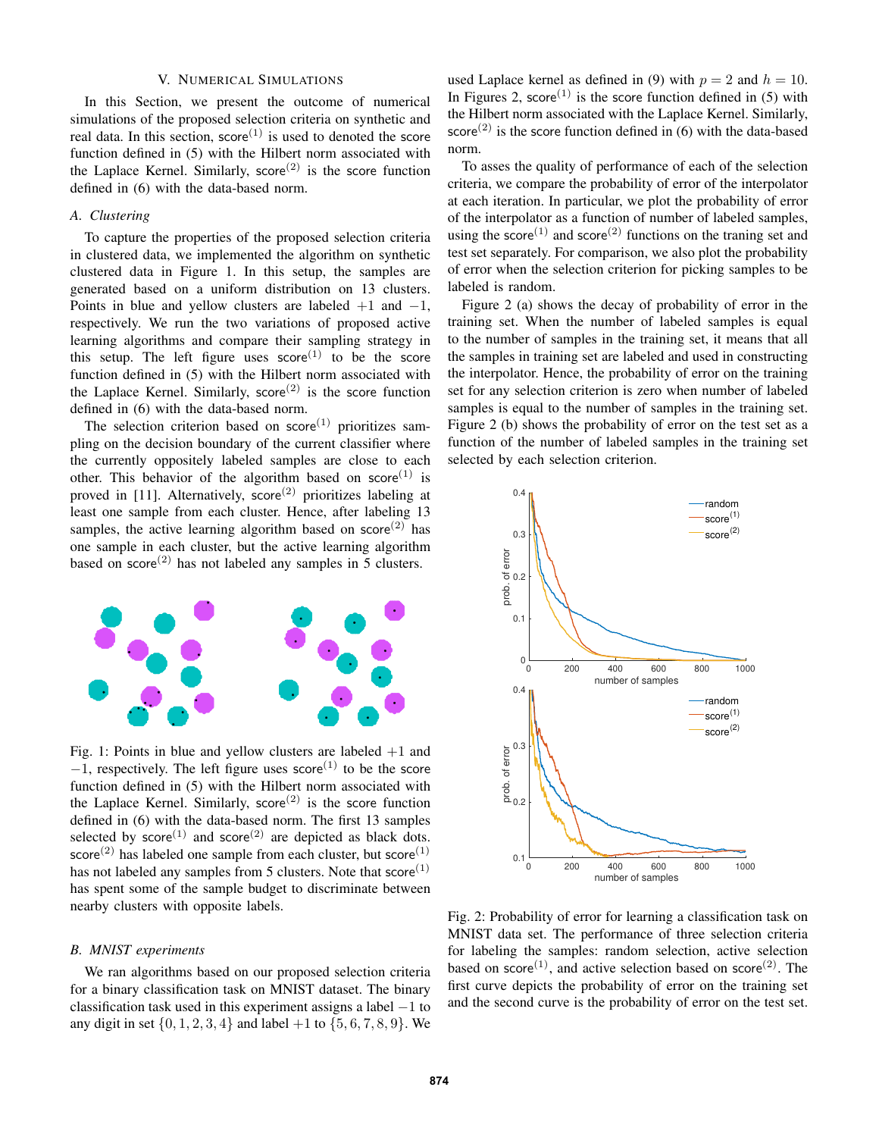## V. NUMERICAL SIMULATIONS

In this Section, we present the outcome of numerical simulations of the proposed selection criteria on synthetic and real data. In this section,  $score^{(1)}$  is used to denoted the score function defined in (5) with the Hilbert norm associated with the Laplace Kernel. Similarly, score<sup>(2)</sup> is the score function defined in (6) with the data-based norm.

## *A. Clustering*

To capture the properties of the proposed selection criteria in clustered data, we implemented the algorithm on synthetic clustered data in Figure 1. In this setup, the samples are generated based on a uniform distribution on 13 clusters. Points in blue and yellow clusters are labeled  $+1$  and  $-1$ , respectively. We run the two variations of proposed active learning algorithms and compare their sampling strategy in this setup. The left figure uses  $score^{(1)}$  to be the score function defined in (5) with the Hilbert norm associated with the Laplace Kernel. Similarly, score<sup>(2)</sup> is the score function defined in (6) with the data-based norm.

The selection criterion based on  $score<sup>(1)</sup>$  prioritizes sampling on the decision boundary of the current classifier where the currently oppositely labeled samples are close to each other. This behavior of the algorithm based on score<sup>(1)</sup> is proved in [11]. Alternatively, score<sup>(2)</sup> prioritizes labeling at least one sample from each cluster. Hence, after labeling 13 samples, the active learning algorithm based on  $score^{(2)}$  has one sample in each cluster, but the active learning algorithm based on score<sup>(2)</sup> has not labeled any samples in 5 clusters.



Fig. 1: Points in blue and yellow clusters are labeled  $+1$  and  $-1$ , respectively. The left figure uses score<sup>(1)</sup> to be the score function defined in (5) with the Hilbert norm associated with the Laplace Kernel. Similarly,  $score^{(2)}$  is the score function defined in (6) with the data-based norm. The first 13 samples selected by  $score^{(1)}$  and  $score^{(2)}$  are depicted as black dots. score<sup>(2)</sup> has labeled one sample from each cluster, but score<sup>(1)</sup> has not labeled any samples from 5 clusters. Note that  $score^{(1)}$ has spent some of the sample budget to discriminate between nearby clusters with opposite labels.

#### *B. MNIST experiments*

We ran algorithms based on our proposed selection criteria for a binary classification task on MNIST dataset. The binary classification task used in this experiment assigns a label  $-1$  to any digit in set  $\{0, 1, 2, 3, 4\}$  and label  $+1$  to  $\{5, 6, 7, 8, 9\}$ . We

used Laplace kernel as defined in (9) with  $p = 2$  and  $h = 10$ . In Figures 2, score<sup>(1)</sup> is the score function defined in (5) with the Hilbert norm associated with the Laplace Kernel. Similarly, score<sup>(2)</sup> is the score function defined in (6) with the data-based norm.

To asses the quality of performance of each of the selection criteria, we compare the probability of error of the interpolator at each iteration. In particular, we plot the probability of error of the interpolator as a function of number of labeled samples, using the score<sup>(1)</sup> and score<sup>(2)</sup> functions on the traning set and test set separately. For comparison, we also plot the probability of error when the selection criterion for picking samples to be labeled is random.

Figure 2 (a) shows the decay of probability of error in the training set. When the number of labeled samples is equal to the number of samples in the training set, it means that all the samples in training set are labeled and used in constructing the interpolator. Hence, the probability of error on the training set for any selection criterion is zero when number of labeled samples is equal to the number of samples in the training set. Figure 2 (b) shows the probability of error on the test set as a function of the number of labeled samples in the training set selected by each selection criterion.



Fig. 2: Probability of error for learning a classification task on MNIST data set. The performance of three selection criteria for labeling the samples: random selection, active selection based on score<sup>(1)</sup>, and active selection based on score<sup>(2)</sup>. The first curve depicts the probability of error on the training set and the second curve is the probability of error on the test set.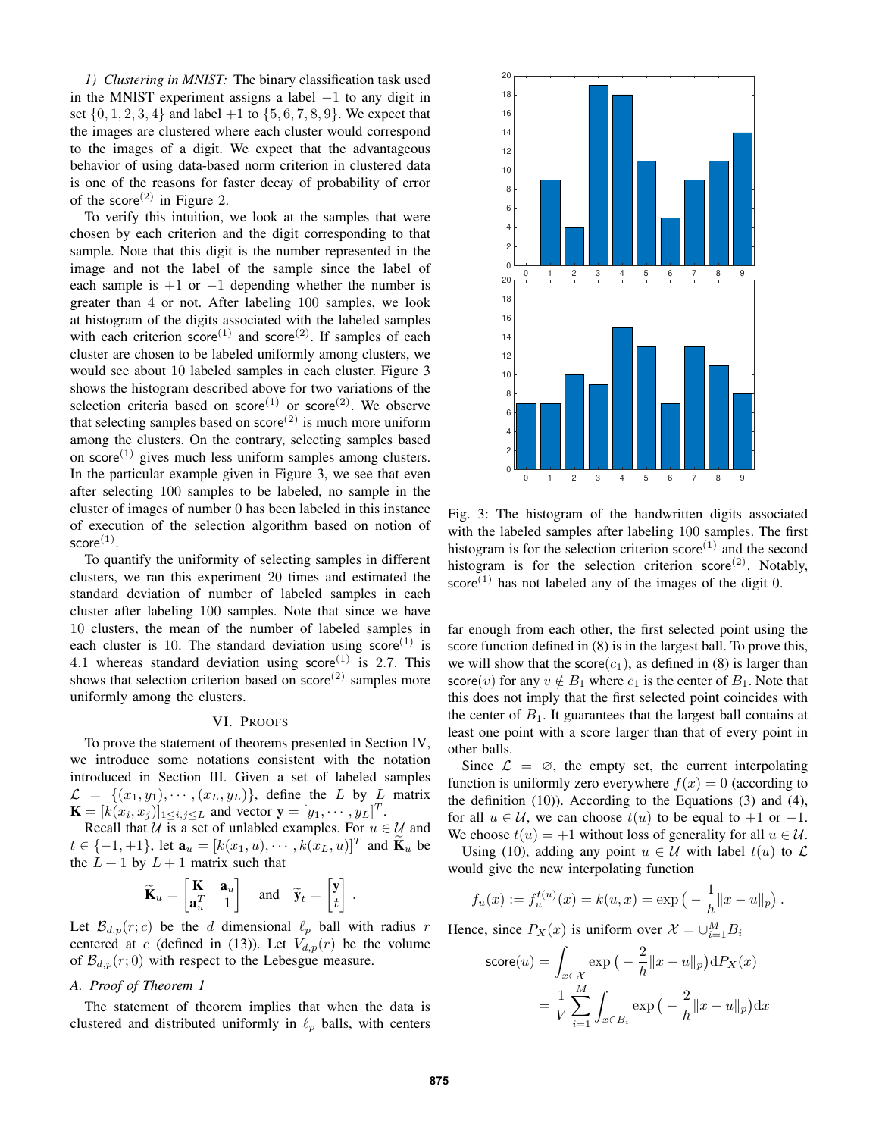*1) Clustering in MNIST:* The binary classification task used in the MNIST experiment assigns a label  $-1$  to any digit in set  $\{0, 1, 2, 3, 4\}$  and label  $+1$  to  $\{5, 6, 7, 8, 9\}$ . We expect that the images are clustered where each cluster would correspond to the images of a digit. We expect that the advantageous behavior of using data-based norm criterion in clustered data is one of the reasons for faster decay of probability of error of the score<sup>(2)</sup> in Figure 2.

To verify this intuition, we look at the samples that were chosen by each criterion and the digit corresponding to that sample. Note that this digit is the number represented in the image and not the label of the sample since the label of each sample is  $+1$  or  $-1$  depending whether the number is greater than 4 or not. After labeling 100 samples, we look at histogram of the digits associated with the labeled samples with each criterion score<sup>(1)</sup> and score<sup>(2)</sup>. If samples of each cluster are chosen to be labeled uniformly among clusters, we would see about 10 labeled samples in each cluster. Figure 3 shows the histogram described above for two variations of the selection criteria based on  $score^{(1)}$  or  $score^{(2)}$ . We observe that selecting samples based on  $score^{(2)}$  is much more uniform among the clusters. On the contrary, selecting samples based on score $^{(1)}$  gives much less uniform samples among clusters. In the particular example given in Figure 3, we see that even after selecting 100 samples to be labeled, no sample in the cluster of images of number 0 has been labeled in this instance of execution of the selection algorithm based on notion of  $\mathsf{score}^{(1)}.$ 

To quantify the uniformity of selecting samples in different clusters, we ran this experiment 20 times and estimated the standard deviation of number of labeled samples in each cluster after labeling 100 samples. Note that since we have 10 clusters, the mean of the number of labeled samples in each cluster is 10. The standard deviation using score<sup>(1)</sup> is 4.1 whereas standard deviation using score<sup>(1)</sup> is 2.7. This shows that selection criterion based on  $score<sup>(2)</sup>$  samples more uniformly among the clusters.

#### VI. PROOFS

To prove the statement of theorems presented in Section IV, we introduce some notations consistent with the notation introduced in Section III. Given a set of labeled samples  $\mathcal{L} = \{ (x_1, y_1), \cdots, (x_L, y_L) \},$  define the L by L matrix  $\mathbf{K} = [k(x_i, x_j)]_{1 \le i, j \le L}$  and vector  $\mathbf{y} = [y_1, \dots, y_L]^T$ .

Recall that  $U$  is a set of unlabled examples. For  $u \in U$  and  $t \in \{-1, +1\}$ , let  $\mathbf{a}_u = [k(x_1, u), \cdots, k(x_L, u)]^T$  and  $\widetilde{\mathbf{K}}_u$  be the  $L + 1$  by  $L + 1$  matrix such that

$$
\widetilde{\mathbf{K}}_u = \begin{bmatrix} \mathbf{K} & \mathbf{a}_u \\ \mathbf{a}_u^T & 1 \end{bmatrix}
$$
 and  $\widetilde{\mathbf{y}}_t = \begin{bmatrix} \mathbf{y} \\ t \end{bmatrix}$ .

Let  $\mathcal{B}_{d,p}(r;c)$  be the d dimensional  $\ell_p$  ball with radius r centered at c (defined in (13)). Let  $V_{d,p}(r)$  be the volume of  $\mathcal{B}_{d,p}(r; 0)$  with respect to the Lebesgue measure.

# *A. Proof of Theorem 1*

The statement of theorem implies that when the data is clustered and distributed uniformly in  $\ell_p$  balls, with centers



Fig. 3: The histogram of the handwritten digits associated with the labeled samples after labeling 100 samples. The first histogram is for the selection criterion  $score^{(1)}$  and the second histogram is for the selection criterion score<sup>(2)</sup>. Notably, score<sup>(1)</sup> has not labeled any of the images of the digit 0.

far enough from each other, the first selected point using the score function defined in (8) is in the largest ball. To prove this, we will show that the score $(c_1)$ , as defined in (8) is larger than score(v) for any  $v \notin B_1$  where  $c_1$  is the center of  $B_1$ . Note that this does not imply that the first selected point coincides with the center of  $B_1$ . It guarantees that the largest ball contains at least one point with a score larger than that of every point in other balls.

Since  $\mathcal{L} = \emptyset$ , the empty set, the current interpolating function is uniformly zero everywhere  $f(x) = 0$  (according to the definition (10)). According to the Equations (3) and (4), for all  $u \in U$ , we can choose  $t(u)$  to be equal to  $+1$  or  $-1$ . We choose  $t(u) = +1$  without loss of generality for all  $u \in \mathcal{U}$ .

Using (10), adding any point  $u \in \mathcal{U}$  with label  $t(u)$  to  $\mathcal{L}$ would give the new interpolating function

$$
f_u(x) := f_u^{t(u)}(x) = k(u, x) = \exp(-\frac{1}{h}||x - u||_p).
$$

Hence, since  $P_X(x)$  is uniform over  $\mathcal{X} = \bigcup_{i=1}^M B_i$ 

$$
\text{score}(u) = \int_{x \in \mathcal{X}} \exp\left(-\frac{2}{h} ||x - u||_p\right) dP_X(x)
$$

$$
= \frac{1}{V} \sum_{i=1}^M \int_{x \in B_i} \exp\left(-\frac{2}{h} ||x - u||_p\right) dx
$$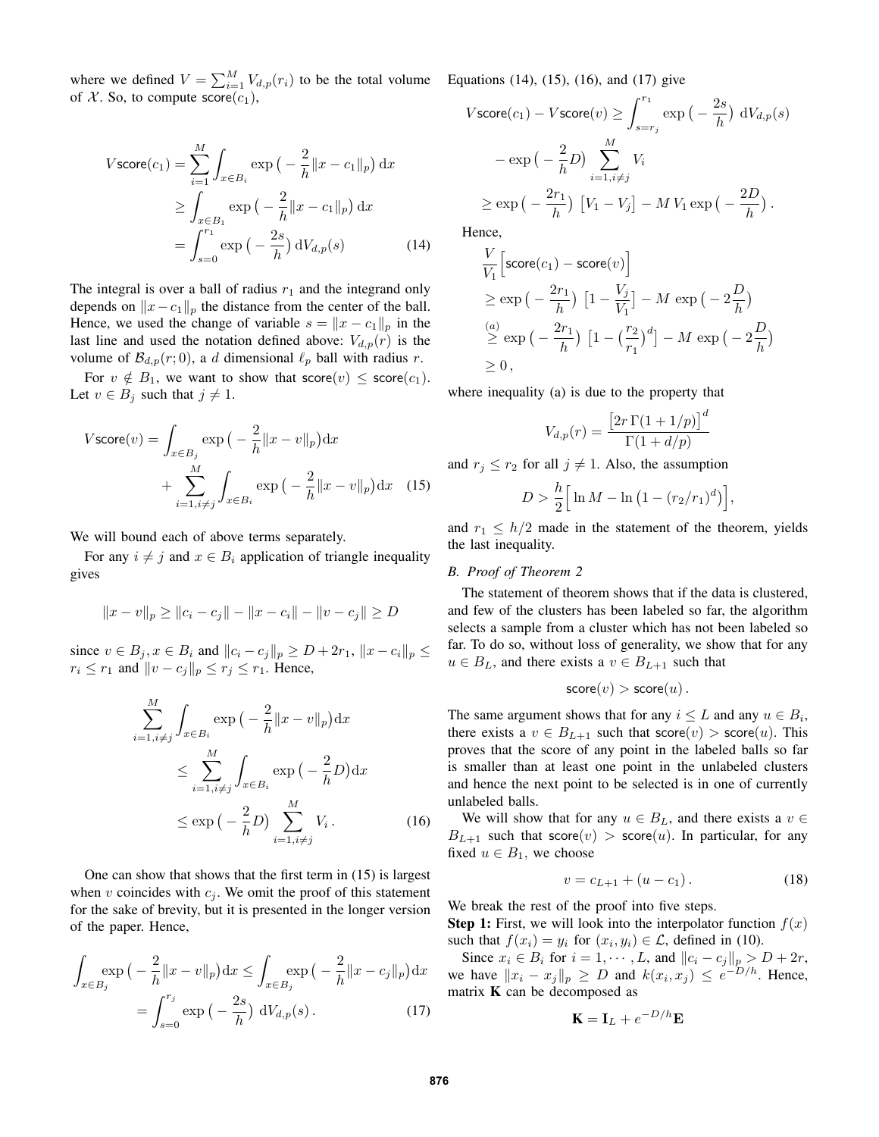where we defined  $V = \sum_{i=1}^{M} V_{d,p}(r_i)$  to be the total volume Equations (14), (15), (16), and (17) give of X. So, to compute  $score(c_1)$ ,

$$
V \text{score}(c_1) = \sum_{i=1}^{M} \int_{x \in B_i} \exp\left(-\frac{2}{h} ||x - c_1||_p\right) dx
$$
  
\n
$$
\geq \int_{x \in B_1} \exp\left(-\frac{2}{h} ||x - c_1||_p\right) dx
$$
  
\n
$$
= \int_{s=0}^{r_1} \exp\left(-\frac{2s}{h}\right) dV_{d,p}(s) \tag{14}
$$

The integral is over a ball of radius  $r_1$  and the integrand only depends on  $||x-c_1||_p$  the distance from the center of the ball. Hence, we used the change of variable  $s = ||x - c_1||_p$  in the last line and used the notation defined above:  $V_{d,p}(r)$  is the volume of  $\mathcal{B}_{d,p}(r; 0)$ , a d dimensional  $\ell_p$  ball with radius r.

For  $v \notin B_1$ , we want to show that score $(v) \leq$  score $(c_1)$ . Let  $v \in B_j$  such that  $j \neq 1$ .

$$
V \operatorname{score}(v) = \int_{x \in B_j} \exp\left(-\frac{2}{h} ||x - v||_p\right) dx
$$

$$
+ \sum_{i=1, i \neq j}^{M} \int_{x \in B_i} \exp\left(-\frac{2}{h} ||x - v||_p\right) dx \quad (15)
$$

We will bound each of above terms separately.

For any  $i \neq j$  and  $x \in B_i$  application of triangle inequality gives

$$
||x - v||_p \ge ||c_i - c_j|| - ||x - c_i|| - ||v - c_j|| \ge D
$$

since  $v \in B_j, x \in B_i$  and  $||c_i - c_j||_p \ge D + 2r_1, ||x - c_i||_p \le$  $r_i \leq r_1$  and  $||v - c_j||_p \leq r_j \leq r_1$ . Hence,

$$
\sum_{i=1, i \neq j}^{M} \int_{x \in B_i} \exp\left(-\frac{2}{h} ||x - v||_p\right) dx
$$
\n
$$
\leq \sum_{i=1, i \neq j}^{M} \int_{x \in B_i} \exp\left(-\frac{2}{h} D\right) dx
$$
\n
$$
\leq \exp\left(-\frac{2}{h} D\right) \sum_{i=1, i \neq j}^{M} V_i.
$$
\n(16)

One can show that shows that the first term in (15) is largest when v coincides with  $c_j$ . We omit the proof of this statement for the sake of brevity, but it is presented in the longer version of the paper. Hence,

$$
\int_{x \in B_j} \exp\left(-\frac{2}{h}||x - v||_p\right) dx \le \int_{x \in B_j} \exp\left(-\frac{2}{h}||x - c_j||_p\right) dx
$$
\n
$$
= \int_{s=0}^{r_j} \exp\left(-\frac{2s}{h}\right) dV_{d,p}(s).
$$
\n(17)

$$
V \text{score}(c_1) - V \text{score}(v) \ge \int_{s=r_j}^{r_1} \exp\left(-\frac{2s}{h}\right) dV_{d,p}(s)
$$

$$
- \exp\left(-\frac{2}{h}D\right) \sum_{i=1, i\ne j}^{M} V_i
$$

$$
\ge \exp\left(-\frac{2r_1}{h}\right) \left[V_1 - V_j\right] - M V_1 \exp\left(-\frac{2D}{h}\right).
$$

Hence,

$$
\frac{V}{V_1} \left[ \text{score}(c_1) - \text{score}(v) \right]
$$
\n
$$
\geq \exp\left(-\frac{2r_1}{h}\right) \left[1 - \frac{V_j}{V_1}\right] - M \exp\left(-2\frac{D}{h}\right)
$$
\n
$$
\stackrel{(a)}{\geq} \exp\left(-\frac{2r_1}{h}\right) \left[1 - \left(\frac{r_2}{r_1}\right)^d\right] - M \exp\left(-2\frac{D}{h}\right)
$$
\n
$$
\geq 0,
$$

where inequality (a) is due to the property that

$$
V_{d,p}(r) = \frac{\left[2r\,\Gamma(1+1/p)\right]^d}{\Gamma(1+d/p)}
$$

and  $r_j \le r_2$  for all  $j \ne 1$ . Also, the assumption

$$
D > \frac{h}{2} \Big[ \ln M - \ln (1 - (r_2/r_1)^d) \Big],
$$

and  $r_1 \leq h/2$  made in the statement of the theorem, yields the last inequality.

## *B. Proof of Theorem 2*

The statement of theorem shows that if the data is clustered, and few of the clusters has been labeled so far, the algorithm selects a sample from a cluster which has not been labeled so far. To do so, without loss of generality, we show that for any  $u \in B_L$ , and there exists a  $v \in B_{L+1}$  such that

$$
\mathsf{score}(v) > \mathsf{score}(u) \, .
$$

The same argument shows that for any  $i \leq L$  and any  $u \in B_i$ , there exists a  $v \in B_{L+1}$  such that score $(v) >$  score $(u)$ . This proves that the score of any point in the labeled balls so far is smaller than at least one point in the unlabeled clusters and hence the next point to be selected is in one of currently unlabeled balls.

We will show that for any  $u \in B_L$ , and there exists a  $v \in$  $B_{L+1}$  such that score $(v) >$  score $(u)$ . In particular, for any fixed  $u \in B_1$ , we choose

$$
v = c_{L+1} + (u - c_1). \tag{18}
$$

We break the rest of the proof into five steps.

**Step 1:** First, we will look into the interpolator function  $f(x)$ such that  $f(x_i) = y_i$  for  $(x_i, y_i) \in \mathcal{L}$ , defined in (10).

Since  $x_i \in B_i$  for  $i = 1, \dots, L$ , and  $||c_i - c_j||_p > D + 2r$ , we have  $||x_i - x_j||_p \ge D$  and  $k(x_i, x_j) \le e^{-D/h}$ . Hence, matrix  $K$  can be decomposed as

$$
\mathbf{K} = \mathbf{I}_L + e^{-D/h}\mathbf{E}
$$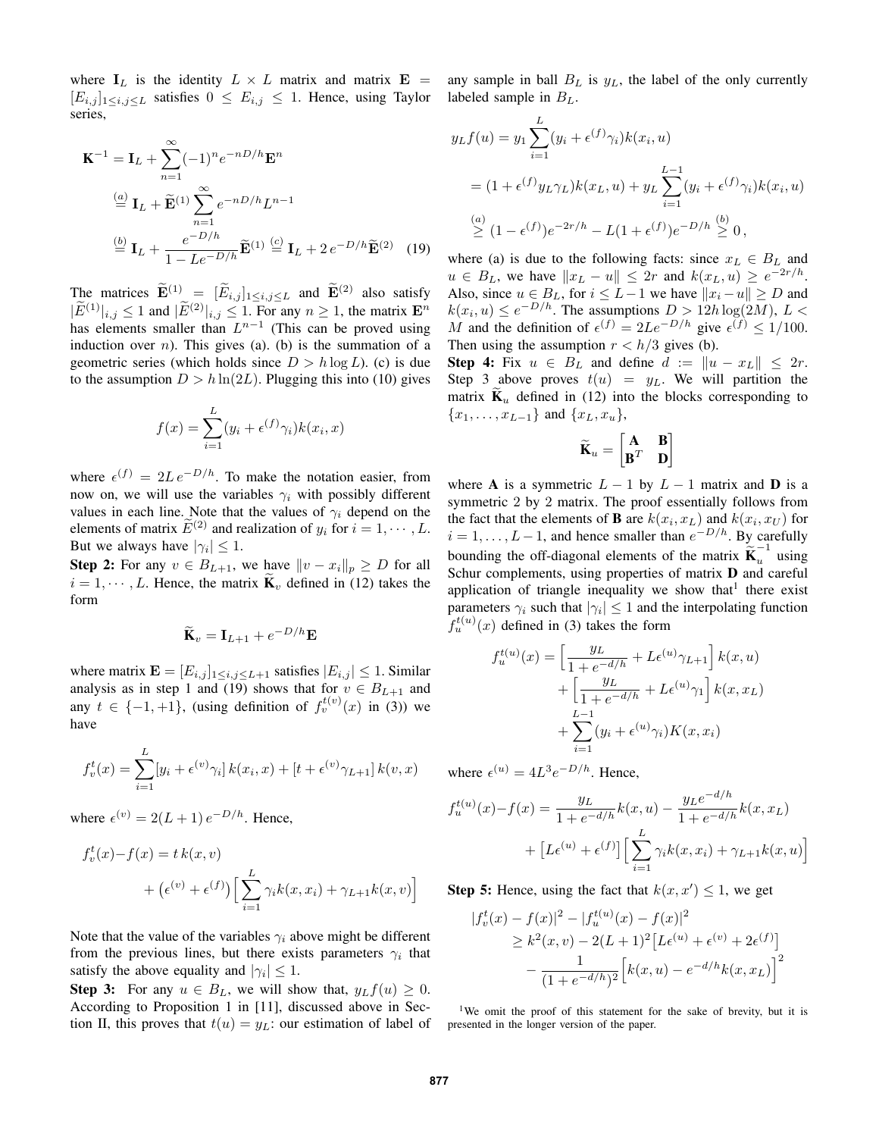where  $I_L$  is the identity  $L \times L$  matrix and matrix  $E =$  any sample in ball  $B_L$  is  $y_L$ , the label of the only currently  $[E_{i,j}]_{1\leq i,j\leq L}$  satisfies  $0 \leq E_{i,j} \leq 1$ . Hence, using Taylor series,

$$
\mathbf{K}^{-1} = \mathbf{I}_L + \sum_{n=1}^{\infty} (-1)^n e^{-nD/h} \mathbf{E}^n
$$
  
\n
$$
\stackrel{(a)}{=} \mathbf{I}_L + \widetilde{\mathbf{E}}^{(1)} \sum_{n=1}^{\infty} e^{-nD/h} L^{n-1}
$$
  
\n
$$
\stackrel{(b)}{=} \mathbf{I}_L + \frac{e^{-D/h}}{1 - Le^{-D/h}} \widetilde{\mathbf{E}}^{(1)} \stackrel{(c)}{=} \mathbf{I}_L + 2 e^{-D/h} \widetilde{\mathbf{E}}^{(2)} \quad (19)
$$

The matrices  $\widetilde{\mathbf{E}}^{(1)} = [\widetilde{E}_{i,j}]_{1 \le i,j \le L}$  and  $\widetilde{\mathbf{E}}^{(2)}$  also satisfy  $|\widetilde{E}^{(1)}|_{i,j} \leq 1$  and  $|\widetilde{E}^{(2)}|_{i,j} \leq 1$ . For any  $n \geq 1$ , the matrix  $\mathbf{E}^n$ has elements smaller than  $L^{n-1}$  (This can be proved using induction over *n*). This gives (a). (b) is the summation of a geometric series (which holds since  $D > h \log L$ ). (c) is due to the assumption  $D > h \ln(2L)$ . Plugging this into (10) gives

$$
f(x) = \sum_{i=1}^{L} (y_i + \epsilon^{(f)} \gamma_i) k(x_i, x)
$$

where  $\epsilon^{(f)} = 2L e^{-D/h}$ . To make the notation easier, from now on, we will use the variables  $\gamma_i$  with possibly different values in each line. Note that the values of  $\gamma_i$  depend on the elements of matrix  $\widetilde{E}^{(2)}$  and realization of  $y_i$  for  $i = 1, \cdots, L$ . But we always have  $|\gamma_i| \leq 1$ .

**Step 2:** For any  $v \in B_{L+1}$ , we have  $||v - x_i||_p \ge D$  for all  $i = 1, \dots, L$ . Hence, the matrix  $\mathbf{K}_v$  defined in (12) takes the form

$$
\widetilde{\mathbf{K}}_v = \mathbf{I}_{L+1} + e^{-D/h} \mathbf{E}
$$

where matrix  $\mathbf{E} = [E_{i,j}]_{1 \le i,j \le L+1}$  satisfies  $|E_{i,j}| \le 1$ . Similar analysis as in step 1 and (19) shows that for  $v \in B_{L+1}$  and any  $t \in \{-1, +1\}$ , (using definition of  $f_v^{t(v)}(x)$  in (3)) we have

$$
f_v^t(x) = \sum_{i=1}^{L} [y_i + \epsilon^{(v)} \gamma_i] k(x_i, x) + [t + \epsilon^{(v)} \gamma_{L+1}] k(v, x)
$$

where  $\epsilon^{(v)} = 2(L+1) e^{-D/h}$ . Hence,

$$
f_v^t(x) - f(x) = t k(x, v)
$$
  
+ 
$$
(\epsilon^{(v)} + \epsilon^{(f)}) \Big[ \sum_{i=1}^L \gamma_i k(x, x_i) + \gamma_{L+1} k(x, v) \Big]
$$

Note that the value of the variables  $\gamma_i$  above might be different from the previous lines, but there exists parameters  $\gamma_i$  that satisfy the above equality and  $|\gamma_i| \leq 1$ .

**Step 3:** For any  $u \in B_L$ , we will show that,  $y_L f(u) \geq 0$ . According to Proposition 1 in [11], discussed above in Section II, this proves that  $t(u) = y_L$ : our estimation of label of labeled sample in  $B_L$ .

$$
y_L f(u) = y_1 \sum_{i=1}^{L} (y_i + \epsilon^{(f)} \gamma_i) k(x_i, u)
$$
  
=  $(1 + \epsilon^{(f)} y_L \gamma_L) k(x_L, u) + y_L \sum_{i=1}^{L-1} (y_i + \epsilon^{(f)} \gamma_i) k(x_i, u)$   
 $\stackrel{(a)}{\geq} (1 - \epsilon^{(f)}) e^{-2r/h} - L(1 + \epsilon^{(f)}) e^{-D/h} \stackrel{(b)}{\geq} 0,$ 

where (a) is due to the following facts: since  $x_L \in B_L$  and  $u \in B_L$ , we have  $||x_L - u|| \leq 2r$  and  $k(x_L, u) \geq e^{-2r/h}$ . Also, since  $u \in B_L$ , for  $i \leq L-1$  we have  $||x_i - u|| \geq D$  and  $k(x_i, u) \le e^{-D/h}$ . The assumptions  $D > 12h \log(2M)$ ,  $L <$ M and the definition of  $\epsilon^{(f)} = 2Le^{-D/h}$  give  $\epsilon^{(f)} \le 1/100$ . Then using the assumption  $r < h/3$  gives (b).

Step 4: Fix  $u \in B_L$  and define  $d := ||u - x_L|| \leq 2r$ . Step 3 above proves  $t(u) = y_L$ . We will partition the matrix  $\mathbf{K}_u$  defined in (12) into the blocks corresponding to  $\{x_1, \ldots, x_{L-1}\}\$ and  $\{x_L, x_u\},\$ 

$$
\widetilde{\mathbf{K}}_u = \begin{bmatrix} \mathbf{A} & \mathbf{B} \\ \mathbf{B}^T & \mathbf{D} \end{bmatrix}
$$

where A is a symmetric  $L - 1$  by  $L - 1$  matrix and D is a symmetric 2 by 2 matrix. The proof essentially follows from the fact that the elements of **B** are  $k(x_i, x_L)$  and  $k(x_i, x_U)$  for  $i = 1, \ldots, L-1$ , and hence smaller than  $e^{-D/h}$ . By carefully bounding the off-diagonal elements of the matrix  $\widetilde{\mathbf{K}}_u^{-1}$  using Schur complements, using properties of matrix **D** and careful application of triangle inequality we show that<sup>1</sup> there exist parameters  $\gamma_i$  such that  $|\gamma_i| \leq 1$  and the interpolating function  $f_u^{t(u)}(x)$  defined in (3) takes the form

$$
f_u^{t(u)}(x) = \left[\frac{y_L}{1 + e^{-d/h}} + L\epsilon^{(u)}\gamma_{L+1}\right]k(x, u)
$$

$$
+ \left[\frac{y_L}{1 + e^{-d/h}} + L\epsilon^{(u)}\gamma_1\right]k(x, x_L)
$$

$$
+ \sum_{i=1}^{L-1} (y_i + \epsilon^{(u)}\gamma_i)K(x, x_i)
$$

where  $\epsilon^{(u)} = 4L^3 e^{-D/h}$ . Hence,

$$
f_u^{t(u)}(x) - f(x) = \frac{y_L}{1 + e^{-d/h}} k(x, u) - \frac{y_L e^{-d/h}}{1 + e^{-d/h}} k(x, x_L)
$$

$$
+ [L\epsilon^{(u)} + \epsilon^{(f)}] \Big[ \sum_{i=1}^L \gamma_i k(x, x_i) + \gamma_{L+1} k(x, u) \Big]
$$

**Step 5:** Hence, using the fact that  $k(x, x') \leq 1$ , we get

$$
|f_v^t(x) - f(x)|^2 - |f_u^{t(u)}(x) - f(x)|^2
$$
  
\n
$$
\ge k^2(x, v) - 2(L+1)^2 \left[L\epsilon^{(u)} + \epsilon^{(v)} + 2\epsilon^{(f)}\right]
$$
  
\n
$$
-\frac{1}{(1 + e^{-d/h})^2} \left[k(x, u) - e^{-d/h}k(x, x_L)\right]^2
$$

<sup>1</sup>We omit the proof of this statement for the sake of brevity, but it is presented in the longer version of the paper.